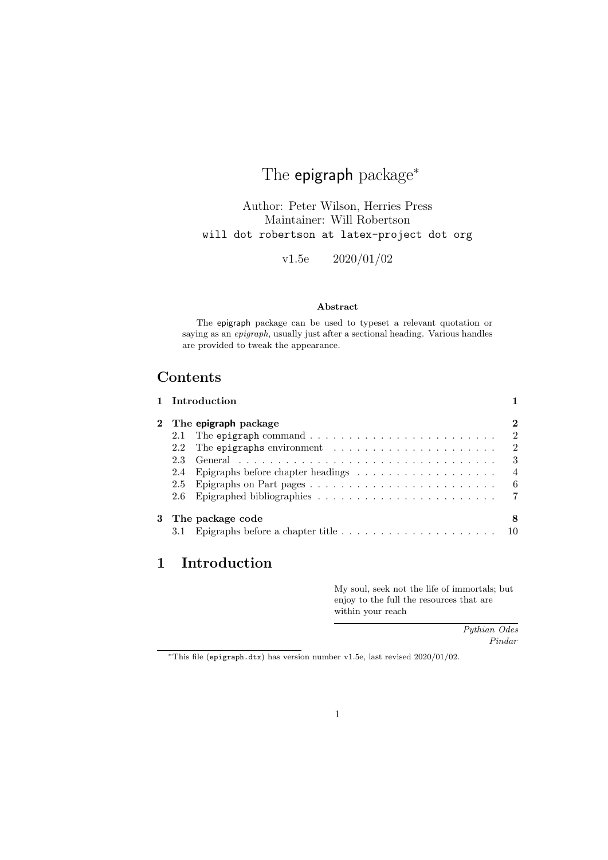# The epigraph package<sup>\*</sup>

Author: Peter Wilson, Herries Press Maintainer: Will Robertson will dot robertson at latex-project dot org

v1.5e 2020/01/02

### Abstract

The epigraph package can be used to typeset a relevant quotation or saying as an epigraph, usually just after a sectional heading. Various handles are provided to tweak the appearance.

# Contents

|          |                             | 1 Introduction                                                                         |                |  |  |
|----------|-----------------------------|----------------------------------------------------------------------------------------|----------------|--|--|
| $\bf{2}$ | The <b>epigraph</b> package |                                                                                        |                |  |  |
|          |                             | 2.1 The epigraph command $\ldots \ldots \ldots \ldots \ldots \ldots \ldots \ldots$     | 2              |  |  |
|          | $2.2\phantom{0}$            | The epigraphs environment $\ldots \ldots \ldots \ldots \ldots \ldots$                  | 2              |  |  |
|          | 23                          |                                                                                        | 3              |  |  |
|          | 2.4                         |                                                                                        | $\overline{4}$ |  |  |
|          | 2.5                         |                                                                                        | 6              |  |  |
|          |                             |                                                                                        |                |  |  |
| 3        |                             | The package code                                                                       | 8              |  |  |
|          |                             | Epigraphs before a chapter title $\ldots \ldots \ldots \ldots \ldots \ldots \ldots 10$ |                |  |  |

# 1 Introduction

My soul, seek not the life of immortals; but enjoy to the full the resources that are within your reach

> Pythian Odes Pindar

<sup>∗</sup>This file (epigraph.dtx) has version number v1.5e, last revised 2020/01/02.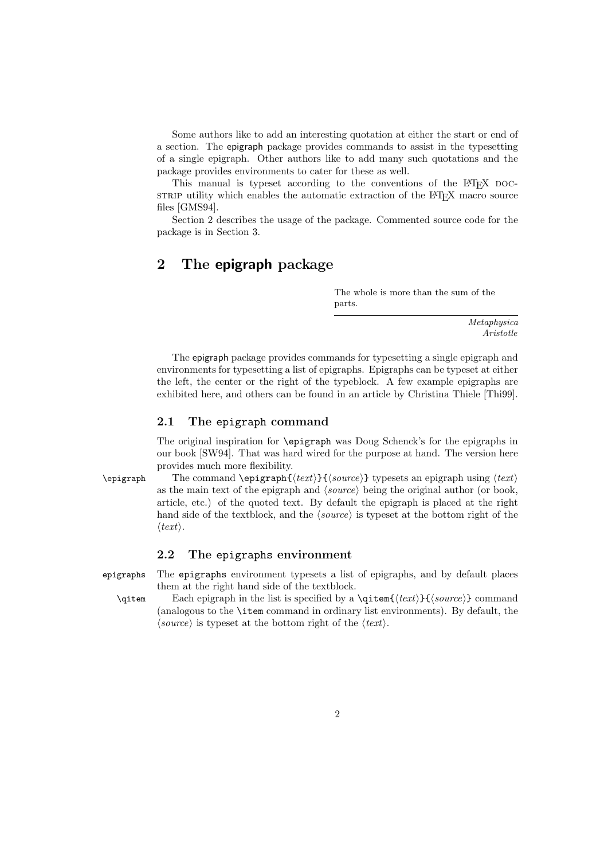Some authors like to add an interesting quotation at either the start or end of a section. The epigraph package provides commands to assist in the typesetting of a single epigraph. Other authors like to add many such quotations and the package provides environments to cater for these as well.

This manual is typeset according to the conventions of the LAT<sub>EX</sub> DOCstrate utility which enables the automatic extraction of the LAT<sub>EX</sub> macro source files [GMS94].

Section 2 describes the usage of the package. Commented source code for the package is in Section 3.

## 2 The epigraph package

The whole is more than the sum of the parts.

> Metaphysica Aristotle

The epigraph package provides commands for typesetting a single epigraph and environments for typesetting a list of epigraphs. Epigraphs can be typeset at either the left, the center or the right of the typeblock. A few example epigraphs are exhibited here, and others can be found in an article by Christina Thiele [Thi99].

### 2.1 The epigraph command

The original inspiration for \epigraph was Doug Schenck's for the epigraphs in our book [SW94]. That was hard wired for the purpose at hand. The version here provides much more flexibility.

\epigraph The command \epigraph{ $\text{\&}$ {\exti}{\source}} typesets an epigraph using  $\text{ }$ as the main text of the epigraph and  $\langle source \rangle$  being the original author (or book, article, etc.) of the quoted text. By default the epigraph is placed at the right hand side of the textblock, and the  $\langle source \rangle$  is typeset at the bottom right of the  $\langle \text{text} \rangle.$ 

### 2.2 The epigraphs environment

epigraphs The epigraphs environment typesets a list of epigraphs, and by default places them at the right hand side of the textblock.

\qitem Each epigraph in the list is specified by a \qitem{ $\{text(\textit{text})\}$ } command (analogous to the \item command in ordinary list environments). By default, the  $\langle source \rangle$  is typeset at the bottom right of the  $\langle text \rangle$ .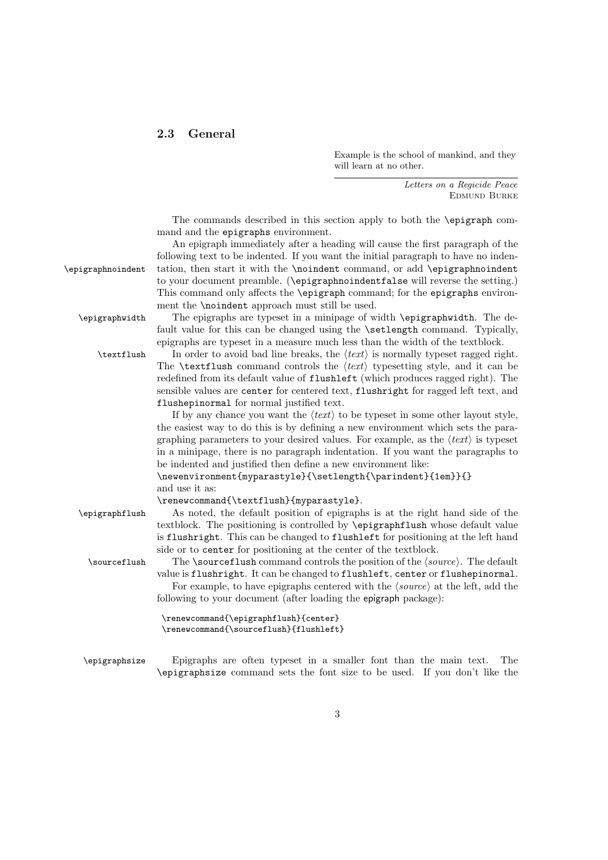### 2.3 General

Example is the school of mankind, and they will learn at no other.

> Letters on a Regicide Peace Edmund Burke

The commands described in this section apply to both the \epigraph command and the epigraphs environment.

An epigraph immediately after a heading will cause the first paragraph of the following text to be indented. If you want the initial paragraph to have no inden- \epigraphnoindent tation, then start it with the \noindent command, or add \epigraphnoindent to your document preamble. (\epigraphnoindentfalse will reverse the setting.) This command only affects the \epigraph command; for the epigraphs environment the \noindent approach must still be used.

\epigraphwidth The epigraphs are typeset in a minipage of width \epigraphwidth. The default value for this can be changed using the \setlength command. Typically, epigraphs are typeset in a measure much less than the width of the textblock.

\textflush In order to avoid bad line breaks, the  $\text{text}$  is normally typeset ragged right. The **\textflush** command controls the  $\langle text \rangle$  typesetting style, and it can be redefined from its default value of flushleft (which produces ragged right). The sensible values are center for centered text, flushright for ragged left text, and flushepinormal for normal justified text.

> If by any chance you want the  $\langle text \rangle$  to be typeset in some other layout style, the easiest way to do this is by defining a new environment which sets the paragraphing parameters to your desired values. For example, as the  $\langle text \rangle$  is typeset in a minipage, there is no paragraph indentation. If you want the paragraphs to be indented and justified then define a new environment like:

\newenvironment{myparastyle}{\setlength{\parindent}{1em}}{} and use it as:

\renewcommand{\textflush}{myparastyle}.

\epigraphflush As noted, the default position of epigraphs is at the right hand side of the textblock. The positioning is controlled by \epigraphflush whose default value is flushright. This can be changed to flushleft for positioning at the left hand side or to center for positioning at the center of the textblock.

 $\text{Sourceflush}$  The  $\text{sumen}$  command controls the position of the  $\text{source}$ . The default value is flushright. It can be changed to flushleft, center or flushepinormal. For example, to have epigraphs centered with the  $\langle source \rangle$  at the left, add the following to your document (after loading the epigraph package):

```
\renewcommand{\epigraphflush}{center}
\renewcommand{\sourceflush}{flushleft}
```
\epigraphsize Epigraphs are often typeset in a smaller font than the main text. The \epigraphsize command sets the font size to be used. If you don't like the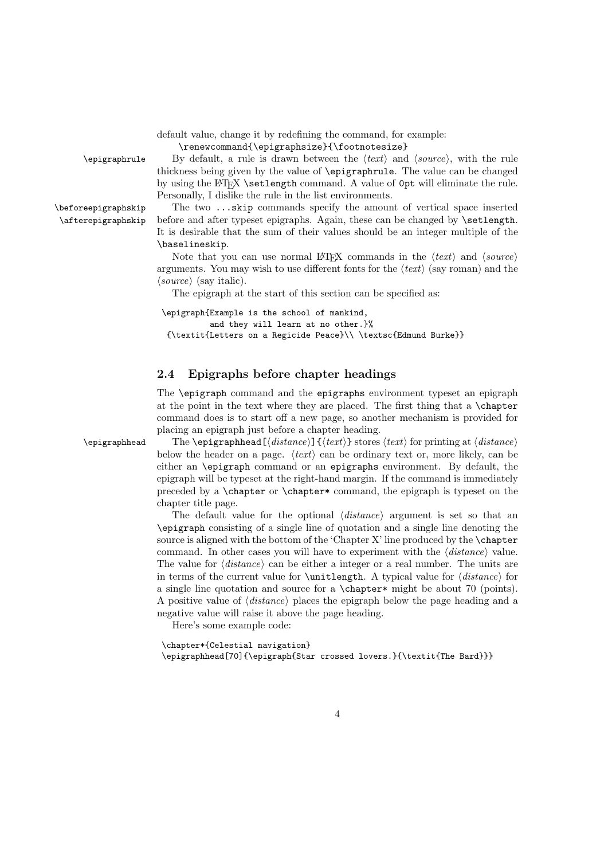default value, change it by redefining the command, for example:

\renewcommand{\epigraphsize}{\footnotesize}

 $\epsilon$  By default, a rule is drawn between the  $\langle text \rangle$  and  $\langle source \rangle$ , with the rule thickness being given by the value of \epigraphrule. The value can be changed by using the LAT<sub>EX</sub> \setlength command. A value of  $0pt$  will eliminate the rule. Personally, I dislike the rule in the list environments.

\beforeepigraphskip The two ...skip commands specify the amount of vertical space inserted \afterepigraphskip before and after typeset epigraphs. Again, these can be changed by \setlength. It is desirable that the sum of their values should be an integer multiple of the \baselineskip.

> Note that you can use normal LAT<sub>EX</sub> commands in the  $\langle text \rangle$  and  $\langle source \rangle$ arguments. You may wish to use different fonts for the  $\langle text \rangle$  (say roman) and the  $\langle source \rangle$  (say italic).

The epigraph at the start of this section can be specified as:

\epigraph{Example is the school of mankind, and they will learn at no other.}% {\textit{Letters on a Regicide Peace}\\ \textsc{Edmund Burke}}

### 2.4 Epigraphs before chapter headings

The \epigraph command and the epigraphs environment typeset an epigraph at the point in the text where they are placed. The first thing that a \chapter command does is to start off a new page, so another mechanism is provided for placing an epigraph just before a chapter heading.

 $\epsilon$  The \epigraphhead  $\left[\frac{distance}{\text{stance}} \cdot \text{text} \right]$  stores  $\text{text}$  for printing at  $\text{distance}$ below the header on a page.  $\langle text \rangle$  can be ordinary text or, more likely, can be either an \epigraph command or an epigraphs environment. By default, the epigraph will be typeset at the right-hand margin. If the command is immediately preceded by a \chapter or \chapter\* command, the epigraph is typeset on the chapter title page.

> The default value for the optional  $\langle distance \rangle$  argument is set so that an \epigraph consisting of a single line of quotation and a single line denoting the source is aligned with the bottom of the 'Chapter X' line produced by the \chapter command. In other cases you will have to experiment with the  $\langle distance \rangle$  value. The value for  $\langle distance \rangle$  can be either a integer or a real number. The units are in terms of the current value for  $\unitlength$ . A typical value for  $\distance$  for a single line quotation and source for a \chapter\* might be about 70 (points). A positive value of  $\langle distance \rangle$  places the epigraph below the page heading and a negative value will raise it above the page heading.

Here's some example code:

\chapter\*{Celestial navigation} \epigraphhead[70]{\epigraph{Star crossed lovers.}{\textit{The Bard}}}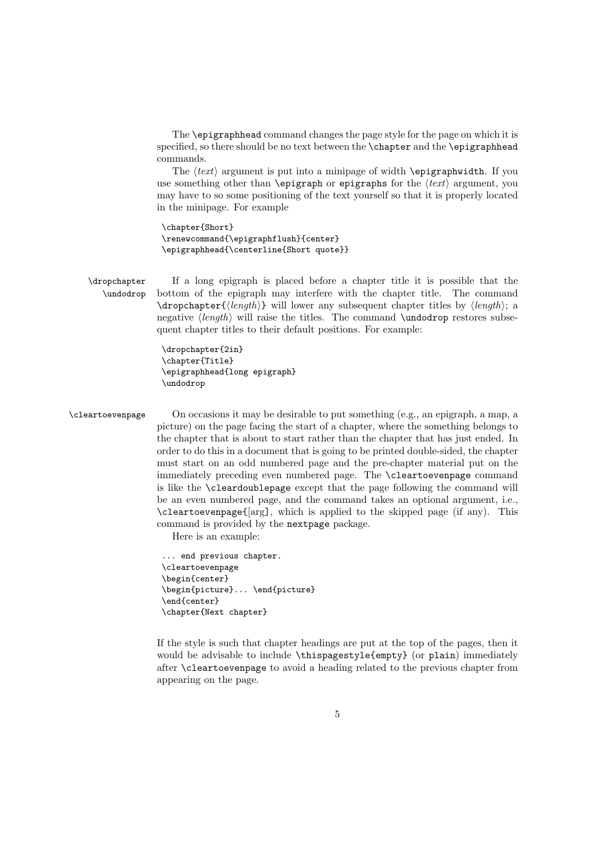The \epigraphhead command changes the page style for the page on which it is specified, so there should be no text between the \chapter and the \epigraphhead commands.

The  $\langle text \rangle$  argument is put into a minipage of width \epigraphwidth. If you use something other than \epigraph or epigraphs for the  $\text{text}$  argument, you may have to so some positioning of the text yourself so that it is properly located in the minipage. For example

\chapter{Short} \renewcommand{\epigraphflush}{center} \epigraphhead{\centerline{Short quote}}

\dropchapter If a long epigraph is placed before a chapter title it is possible that the \undodrop bottom of the epigraph may interfere with the chapter title. The command  $\d$ ropchapter ${\langle length \rangle}$  will lower any subsequent chapter titles by  $\langle length \rangle$ ; a negative  $\langle length \rangle$  will raise the titles. The command \undodrop restores subsequent chapter titles to their default positions. For example:

> \dropchapter{2in} \chapter{Title} \epigraphhead{long epigraph} \undodrop

\cleartoevenpage On occasions it may be desirable to put something (e.g., an epigraph, a map, a picture) on the page facing the start of a chapter, where the something belongs to the chapter that is about to start rather than the chapter that has just ended. In order to do this in a document that is going to be printed double-sided, the chapter must start on an odd numbered page and the pre-chapter material put on the immediately preceding even numbered page. The \cleartoevenpage command is like the \cleardoublepage except that the page following the command will be an even numbered page, and the command takes an optional argument, i.e., \cleartoevenpage{[arg], which is applied to the skipped page (if any). This command is provided by the nextpage package.

Here is an example:

... end previous chapter. \cleartoevenpage \begin{center} \begin{picture}... \end{picture} \end{center} \chapter{Next chapter}

If the style is such that chapter headings are put at the top of the pages, then it would be advisable to include \thispagestyle{empty} (or plain) immediately after \cleartoevenpage to avoid a heading related to the previous chapter from appearing on the page.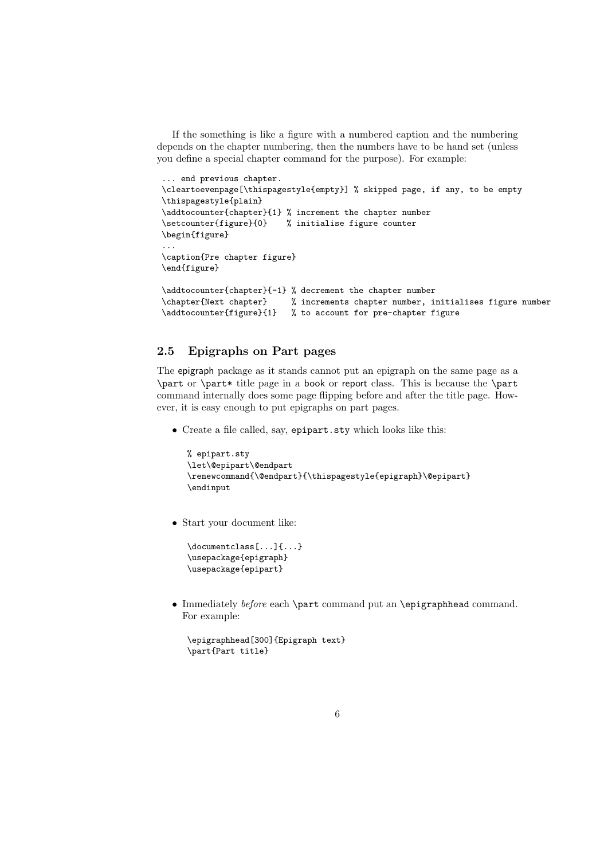If the something is like a figure with a numbered caption and the numbering depends on the chapter numbering, then the numbers have to be hand set (unless you define a special chapter command for the purpose). For example:

```
... end previous chapter.
\cleartoevenpage[\thispagestyle{empty}] % skipped page, if any, to be empty
\thispagestyle{plain}
\addtocounter{chapter}{1} % increment the chapter number
\setcounter{figure}{0} % initialise figure counter
\begin{figure}
...
\caption{Pre chapter figure}
\end{figure}
\addtocounter{chapter}{-1} % decrement the chapter number
\chapter{Next chapter} % increments chapter number, initialises figure number
```
### 2.5 Epigraphs on Part pages

The epigraph package as it stands cannot put an epigraph on the same page as a \part or \part\* title page in a book or report class. This is because the \part command internally does some page flipping before and after the title page. However, it is easy enough to put epigraphs on part pages.

• Create a file called, say, epipart.sty which looks like this:

\addtocounter{figure}{1} % to account for pre-chapter figure

```
% epipart.sty
\let\@epipart\@endpart
\renewcommand{\@endpart}{\thispagestyle{epigraph}\@epipart}
\endinput
```
• Start your document like:

```
\documentclass[...]{...}
\usepackage{epigraph}
\usepackage{epipart}
```
• Immediately before each \part command put an \epigraphhead command. For example:

```
\epigraphhead[300]{Epigraph text}
\part{Part title}
```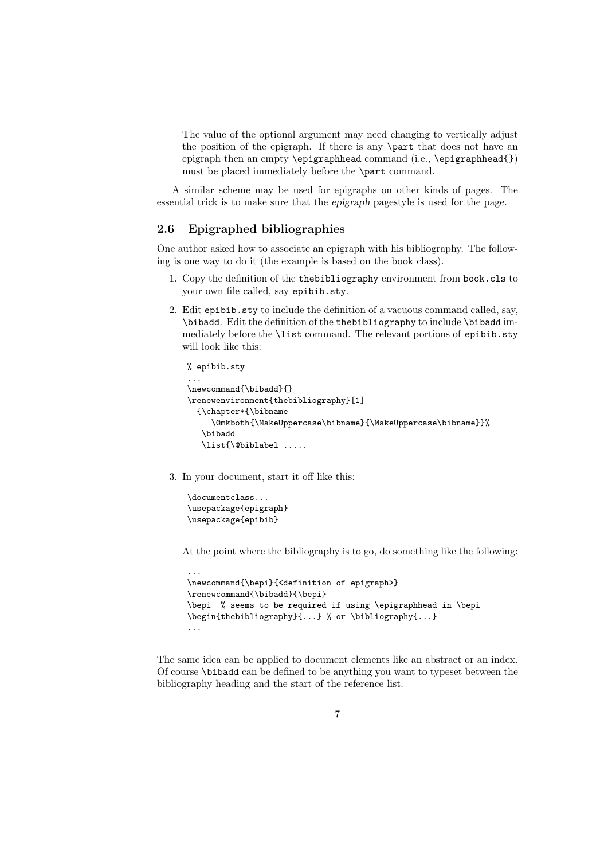The value of the optional argument may need changing to vertically adjust the position of the epigraph. If there is any \part that does not have an epigraph then an empty \epigraphhead command (i.e., \epigraphhead{}) must be placed immediately before the \part command.

A similar scheme may be used for epigraphs on other kinds of pages. The essential trick is to make sure that the epigraph pagestyle is used for the page.

### 2.6 Epigraphed bibliographies

One author asked how to associate an epigraph with his bibliography. The following is one way to do it (the example is based on the book class).

- 1. Copy the definition of the thebibliography environment from book.cls to your own file called, say epibib.sty.
- 2. Edit epibib.sty to include the definition of a vacuous command called, say, \bibadd. Edit the definition of the thebibliography to include \bibadd immediately before the \list command. The relevant portions of epibib.sty will look like this:

```
% epibib.sty
...
\newcommand{\bibadd}{}
\renewenvironment{thebibliography}[1]
  {\chapter*{\bibname
     \@mkboth{\MakeUppercase\bibname}{\MakeUppercase\bibname}}%
   \bibadd
   \list{\@biblabel .....
```
3. In your document, start it off like this:

```
\documentclass...
\usepackage{epigraph}
\usepackage{epibib}
```
At the point where the bibliography is to go, do something like the following:

```
...
\newcommand{\bepi}{<definition of epigraph>}
\renewcommand{\bibadd}{\bepi}
\bepi % seems to be required if using \epigraphhead in \bepi
\begin{thebibliography}{...} % or \bibliography{...}
...
```
The same idea can be applied to document elements like an abstract or an index. Of course \bibadd can be defined to be anything you want to typeset between the bibliography heading and the start of the reference list.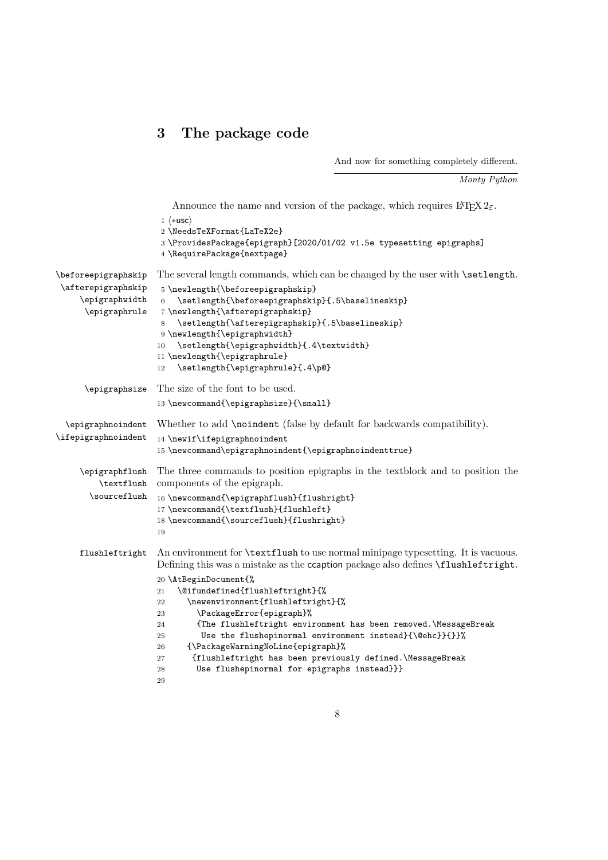# 3 The package code

And now for something completely different.

Monty Python

Announce the name and version of the package, which requires  $\text{LATEX}\,2_\mathcal{E}.$ 1  $\langle *usc \rangle$ 

|                                                                                      | $1 \wedge \text{rad}$<br>2 \NeedsTeXFormat{LaTeX2e}<br>3 \ProvidesPackage{epigraph}[2020/01/02 v1.5e typesetting epigraphs]<br>4 \RequirePackage{nextpage}                                                                                                                                                                                                                                                                                                                                                                                                                                                                                    |
|--------------------------------------------------------------------------------------|-----------------------------------------------------------------------------------------------------------------------------------------------------------------------------------------------------------------------------------------------------------------------------------------------------------------------------------------------------------------------------------------------------------------------------------------------------------------------------------------------------------------------------------------------------------------------------------------------------------------------------------------------|
| $\verb \beforepigraphskip $<br>\afterepigraphskip<br>\epigraphwidth<br>\epigraphrule | The several length commands, which can be changed by the user with <b>\setlength</b> .<br>5\newlength{\beforeepigraphskip}<br>\setlength{\beforeepigraphskip}{.5\baselineskip}<br>$\,6\,$<br>7\newlength{\afterepigraphskip}<br>\setlength{\afterepigraphskip}{.5\baselineskip}<br>8<br>9 \newlength{\epigraphwidth}<br>\setlength{\epigraphwidth}{.4\textwidth}<br>10<br>11 \newlength{\epigraphrule}<br>\setlength{\epigraphrule}{.4\p@}<br>12                                                                                                                                                                                              |
| \epigraphsize                                                                        | The size of the font to be used.<br>13 \newcommand{\epigraphsize}{\small}                                                                                                                                                                                                                                                                                                                                                                                                                                                                                                                                                                     |
| \epigraphnoindent<br>\ifepigraphnoindent                                             | Whether to add \noindent (false by default for backwards compatibility).<br>14 \newif\ifepigraphnoindent<br>15 \newcommand\epigraphnoindent{\epigraphnoindenttrue}                                                                                                                                                                                                                                                                                                                                                                                                                                                                            |
| \epigraphflush<br>\textflush<br>\sourceflush                                         | The three commands to position epigraphs in the textblock and to position the<br>components of the epigraph.<br>16 \newcommand{\epigraphflush}{flushright}<br>17 \newcommand{\textflush}{flushleft}<br>18 \newcommand{\sourceflush}{flushright}<br>19                                                                                                                                                                                                                                                                                                                                                                                         |
| flushleftright                                                                       | An environment for <b>\textflush</b> to use normal minipage typesetting. It is vacuous.<br>Defining this was a mistake as the ccaption package also defines \flushleftright.<br>20 \AtBeginDocument{%<br>\@ifundefined{flushleftright}{%<br>21<br>\newenvironment{flushleftright}{%<br>22<br>\PackageError{epigraph}%<br>23<br>{The flushleftright environment has been removed.\MessageBreak<br>24<br>Use the flushepinormal environment instead}{\@ehc}}{}}%<br>25<br>{\PackageWarningNoLine{epigraph}%<br>26<br>{flushleftright has been previously defined.\MessageBreak<br>27<br>Use flushepinormal for epigraphs instead}}}<br>28<br>29 |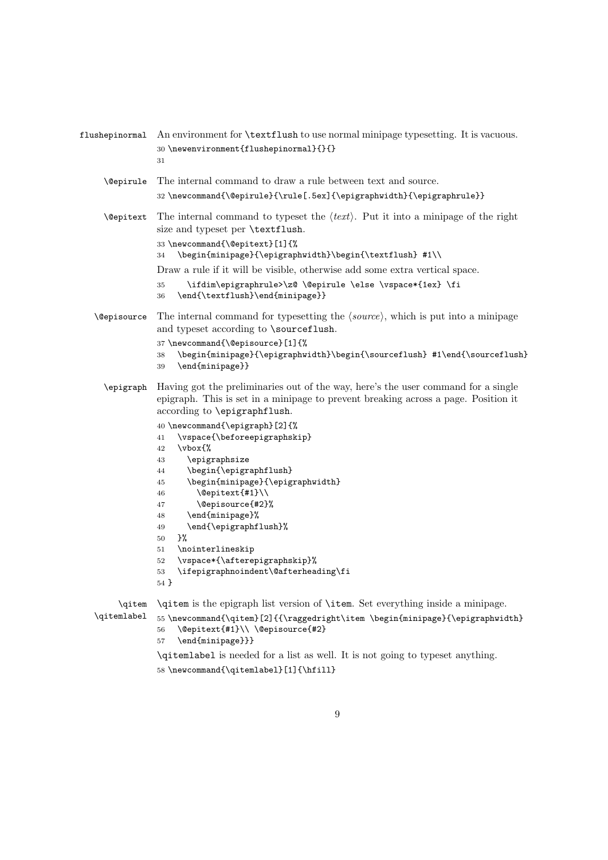| flushepinormal           | An environment for <b>\textflush</b> to use normal minipage typesetting. It is vacuous.<br>30 \newenvironment{flushepinormal}{}{}<br>31                                                                                                                                                                                                                                                                                                                                                                                                                                                                                                                     |
|--------------------------|-------------------------------------------------------------------------------------------------------------------------------------------------------------------------------------------------------------------------------------------------------------------------------------------------------------------------------------------------------------------------------------------------------------------------------------------------------------------------------------------------------------------------------------------------------------------------------------------------------------------------------------------------------------|
| <i><b>\@epirule</b></i>  | The internal command to draw a rule between text and source.<br>32\newcommand{\@epirule}{\rule[.5ex]{\epigraphwidth}{\epigraphrule}}                                                                                                                                                                                                                                                                                                                                                                                                                                                                                                                        |
| <i><b>Nepitext</b></i>   | The internal command to typeset the $\langle text \rangle$ . Put it into a minipage of the right<br>size and typeset per \textflush.<br>33 \newcommand{\@epitext}[1]{%<br>\begin{minipage}{\epigraphwidth}\begin{\textflush} #1\\<br>34<br>Draw a rule if it will be visible, otherwise add some extra vertical space.<br>\ifdim\epigraphrule>\z@ \@epirule \else \vspace*{1ex} \fi<br>35<br>\end{\textflush}\end{minipage}}<br>36                                                                                                                                                                                                                          |
| <i><b>Nepisource</b></i> | The internal command for typesetting the $\langle source \rangle$ , which is put into a minipage<br>and typeset according to \sourceflush.<br>37 \newcommand{\@episource}[1]{%<br>\begin{minipage}{\epigraphwidth}\begin{\sourceflush} #1\end{\sourceflush}<br>38<br>\end{minipage}}<br>39                                                                                                                                                                                                                                                                                                                                                                  |
|                          | \epigraph Having got the preliminaries out of the way, here's the user command for a single<br>epigraph. This is set in a minipage to prevent breaking across a page. Position it<br>according to \epigraphflush.<br>40 \newcommand{\epigraph}[2]{%<br>\vspace{\beforeepigraphskip}<br>41<br>\vbox{%<br>42<br>\epigraphsize<br>43<br>\begin{\epigraphflush}<br>44<br>\begin{minipage}{\epigraphwidth}<br>45<br>\@epitext{#1}\\<br>46<br>\@episource{#2}%<br>47<br>\end{minipage}%<br>48<br>\end{\epigraphflush}%<br>49<br>}%<br>50<br>\nointerlineskip<br>51<br>\vspace*{\afterepigraphskip}%<br>52<br>\ifepigraphnoindent\@afterheading\fi<br>53<br>$54$ } |
| \qitem<br>\qitemlabel    | \qitem is the epigraph list version of \item. Set everything inside a minipage.<br>55\newcommand{\qitem}[2]{{\raggedright\item \begin{minipage}{\epigraphwidth}<br>\@epitext{#1}\\ \@episource{#2}<br>56<br>\end{minipage}}}<br>57<br>\qitemlabel is needed for a list as well. It is not going to typeset anything.                                                                                                                                                                                                                                                                                                                                        |
|                          | 58 \newcommand{\qitemlabel}[1]{\hfill}                                                                                                                                                                                                                                                                                                                                                                                                                                                                                                                                                                                                                      |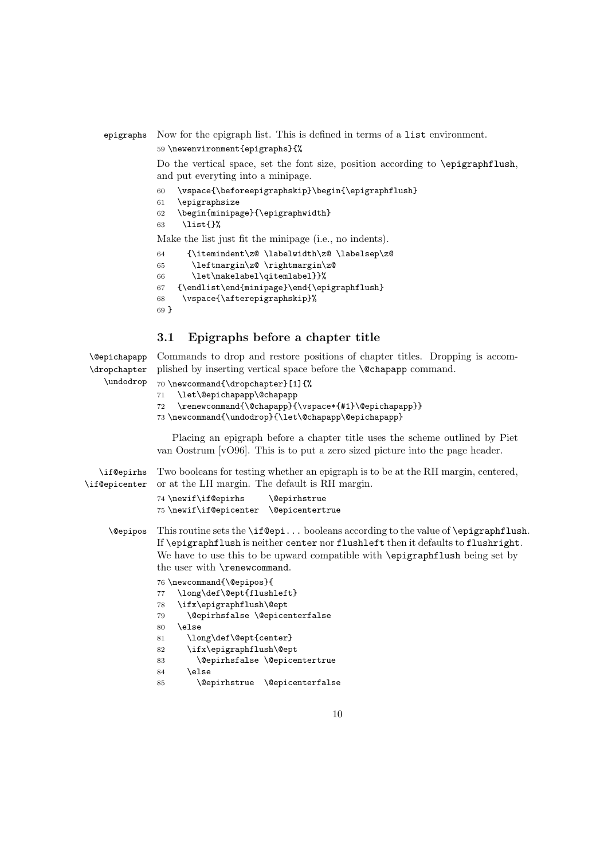### epigraphs Now for the epigraph list. This is defined in terms of a list environment. 59 \newenvironment{epigraphs}{%

Do the vertical space, set the font size, position according to **\epigraphflush**, and put everyting into a minipage.

- 60 \vspace{\beforeepigraphskip}\begin{\epigraphflush}
- 61 \epigraphsize
- 62 \begin{minipage}{\epigraphwidth}
- 63 \list{}%

Make the list just fit the minipage (i.e., no indents).

```
64 {\itemindent\z@ \labelwidth\z@ \labelsep\z@
```

```
65 \leftmargin\z@ \rightmargin\z@
```

```
66 \let\makelabel\qitemlabel}}%
```
67 {\endlist\end{minipage}\end{\epigraphflush}

```
68 \vspace{\afterepigraphskip}%
```

```
69 }
```
\undodrop

### 3.1 Epigraphs before a chapter title

\@epichapapp \dropchapter Commands to drop and restore positions of chapter titles. Dropping is accomplished by inserting vertical space before the **\@chapapp** command.

```
70 \newcommand{\dropchapter}[1]{%
```

```
71 \let\@epichapapp\@chapapp
```

```
72 \renewcommand{\@chapapp}{\vspace*{#1}\@epichapapp}}
```
73 \newcommand{\undodrop}{\let\@chapapp\@epichapapp}

Placing an epigraph before a chapter title uses the scheme outlined by Piet van Oostrum [vO96]. This is to put a zero sized picture into the page header.

\if@epirhs \if@epicenter Two booleans for testing whether an epigraph is to be at the RH margin, centered, or at the LH margin. The default is RH margin.

```
74 \newif\if@epirhs \@epirhstrue
75 \newif\if@epicenter \@epicentertrue
```
\@epipos This routine sets the \if@epi... booleans according to the value of \epigraphflush. If \epigraphflush is neither center nor flushleft then it defaults to flushright. We have to use this to be upward compatible with **\epigraphflush** being set by the user with \renewcommand.

76 \newcommand{\@epipos}{

```
77 \long\def\@ept{flushleft}
78 \ifx\epigraphflush\@ept
79 \@epirhsfalse \@epicenterfalse
80 \else
81 \long\def\@ept{center}
82 \ifx\epigraphflush\@ept
83 \@epirhsfalse \@epicentertrue
84 \else
85 \@epirhstrue \@epicenterfalse
```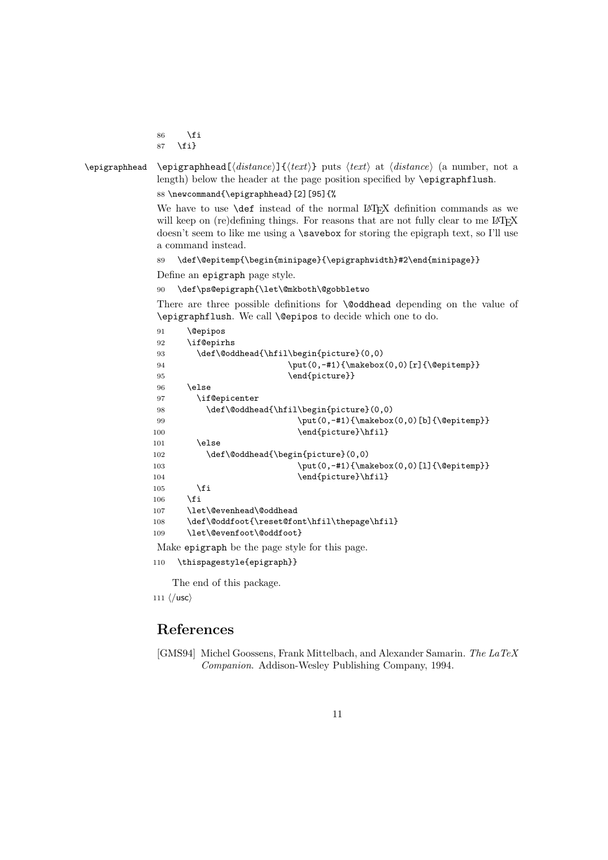\fi \fi}

 $\epsilon$  \epigraphhead \epigraphhead[ $\distance$ ]{ $\text{text}$ } puts  $\text{text}$  at  $\text{distance}$  (a number, not a length) below the header at the page position specified by \epigraphflush. \newcommand{\epigraphhead}[2][95]{%

> We have to use **\def** instead of the normal LATEX definition commands as we will keep on (re)defining things. For reasons that are not fully clear to me LATEX doesn't seem to like me using a \savebox for storing the epigraph text, so I'll use a command instead.

```
89 \def\@epitemp{\begin{minipage}{\epigraphwidth}#2\end{minipage}}
```
Define an epigraph page style.

\def\ps@epigraph{\let\@mkboth\@gobbletwo

There are three possible definitions for **\@oddhead** depending on the value of \epigraphflush. We call \@epipos to decide which one to do.

| 91  | <b>\@epipos</b>                               |
|-----|-----------------------------------------------|
| 92  | \if@epirhs                                    |
| 93  | \def\@oddhead{\hfil\begin{picture}(0,0)       |
| 94  | \put(0,-#1){\makebox(0,0)[r]{\@epitemp}}      |
| 95  | \end{picture}}                                |
| 96  | \else                                         |
| 97  | \if@epicenter                                 |
| 98  | \def\@oddhead{\hfil\begin{picture}(0,0)       |
| 99  | \put(0,-#1){\makebox(0,0)[b]{\@epitemp}}      |
| 100 | \end{picture}\hfil}                           |
| 101 | \else                                         |
| 102 | \def\@oddhead{\begin{picture}(0,0)            |
| 103 | $\put(0, -\#1){\mathbb X(0,0)[1]}{\@epitemp}$ |
| 104 | \end{picture}\hfil}                           |
| 105 | \fi                                           |
| 106 | \fi                                           |
| 107 | \let\@evenhead\@oddhead                       |
| 108 | \def\@oddfoot{\reset@font\hfil\thepage\hfil}  |
| 109 | \let\@evenfoot\@oddfoot}                      |
|     |                                               |

Make epigraph be the page style for this page.

```
110 \thispagestyle{epigraph}}
```
The end of this package.

```
111 \langle/usc\rangle
```
# References

[GMS94] Michel Goossens, Frank Mittelbach, and Alexander Samarin. The LaTeX Companion. Addison-Wesley Publishing Company, 1994.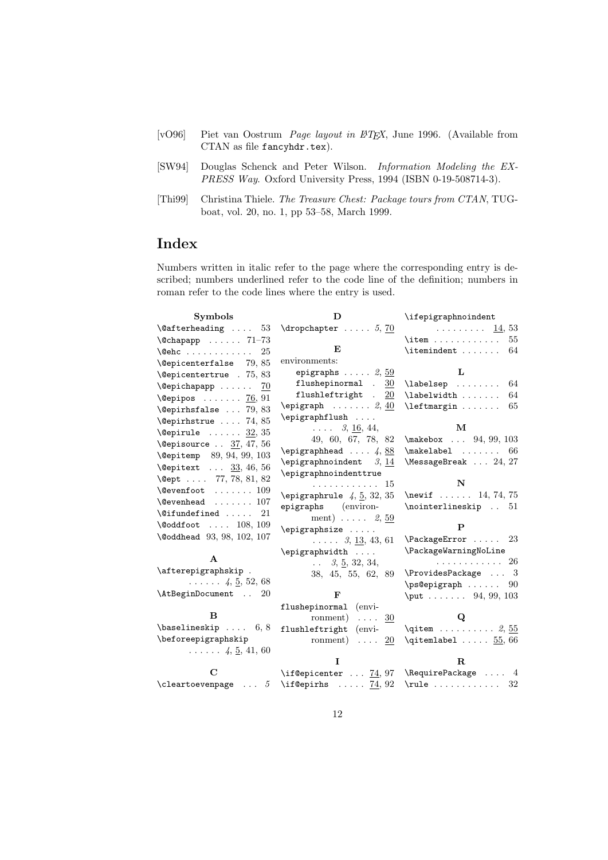- [vO96] Piet van Oostrum Page layout in LATEX, June 1996. (Available from CTAN as file fancyhdr.tex).
- [SW94] Douglas Schenck and Peter Wilson. Information Modeling the EX-PRESS Way. Oxford University Press, 1994 (ISBN 0-19-508714-3).
- [Thi99] Christina Thiele. The Treasure Chest: Package tours from CTAN, TUGboat, vol. 20, no. 1, pp 53–58, March 1999.

# Index

Numbers written in italic refer to the page where the corresponding entry is described; numbers underlined refer to the code line of the definition; numbers in roman refer to the code lines where the entry is used.

| <b>Symbols</b>                                               | D                                          | \ifepigraphnoindent                                                     |
|--------------------------------------------------------------|--------------------------------------------|-------------------------------------------------------------------------|
| $\text{^\alpha \ldots 53 \ \text{dropchapter} \ldots 5, 70}$ |                                            | . 14, 53                                                                |
| $\text{Qchapapp}$ 71-73                                      |                                            | $\begin{bmatrix} \text{item} \dots \text{if} \end{bmatrix}$<br>55       |
| $\text{Qehc}$<br>-25                                         | $\bf{E}$                                   | \itemindent<br>64                                                       |
| $\text{Depicenterfalse}$ 79, 85                              | environments:                              |                                                                         |
| \@epicentertrue . 75,83                                      | epigraphs $\ldots$ . 2, $\underline{59}$   | L                                                                       |
| $\text{Qepichapapp} \ldots \ldots \quad 70$                  | flushepinormal.<br>30                      | \labelsep<br>64                                                         |
| $\text{Qepipos} \dots \dots \quad \text{76}, 91$             | flushleftright $. 20$                      | \labelwidth<br>64                                                       |
| \@epirhsfalse  79,83                                         | $\epsilon$ \epigraph $\ldots \ldots 2, 40$ | \leftmargin<br>65                                                       |
| $\text{Qepirhstrue} \dots 74, 85$                            | $\epsilon$                                 | M                                                                       |
| $\text{Qepirule} \dots \dots \underline{32}, 35$             | $\ldots$ 3, 16, 44,                        |                                                                         |
| \@episource $37, 47, 56$                                     | 49, 60, 67, 78, 82<br>$\epsilon$ 4,88      | $\{\text{makebox} \dots \ 94, 99, 103\}$<br>$\mathcal{L}$ 66            |
| \@epitemp 89, 94, 99, 103                                    | \epigraphnoindent $3, 14$                  | $\text{MessageBreak} \dots 24, 27$                                      |
| <b>\@epitext</b> $33, 46, 56$                                | \epigraphnoindenttrue                      |                                                                         |
| \@ept  77, 78, 81, 82                                        | . 15                                       | N                                                                       |
| $\text{Qevenfoot } \dots \dots \ 109$                        | $\epsilon$ , 4, 5, 32, 35                  | \newif  14, 74, 75                                                      |
| $\verb+\@evenhead + \ldots + 107$                            | epigraphs (environ-                        | \nointerlineskip  51                                                    |
| $\text{^\circ}$                                              | ment) $\ldots$ 2, $\frac{59}{2}$           |                                                                         |
| $\delta$ \@oddfoot  108, 109                                 | $\epsilon$                                 | P                                                                       |
| \@oddhead 93, 98, 102, 107                                   | $\ldots$ $3, \underline{13}, 43, 61$       | $\Pack$ ackageError  23                                                 |
|                                                              | \epigraphwidth                             | \PackageWarningNoLine                                                   |
| $\mathbf{A}$                                                 | $\ldots$ 3, 5, 32, 34,                     | . 26                                                                    |
| \afterepigraphskip.                                          | 38, 45, 55, 62, 89                         | $\PerovidesPackage \dots 3$                                             |
| $\ldots$ $4, 5, 52, 68$                                      |                                            | \ps@epigraph<br>90                                                      |
| \AtBeginDocument<br>20                                       | $\mathbf F$                                | $\put \dots \dots \ 94, 99, 103$                                        |
| B                                                            | flushepinormal (envi-                      |                                                                         |
|                                                              | ronment) $\ldots$ 30                       | Q                                                                       |
| $\{\text{baselineskip}\dots\ 6, 8\}$                         | flushleftright (envi-                      | $\qquad \ldots \ldots \ldots \quad 2, \underline{55}$                   |
| \beforeepigraphskip                                          | ronment) $\ldots$ 20                       | $\qquad$ $55,66$                                                        |
| $\ldots$ $\ldots$ 4, 5, 41, 60                               | T                                          | $\mathbf{R}$                                                            |
| $\mathbf C$                                                  | \if@epicenter $74, 97$ \RequirePackage  4  |                                                                         |
| \cleartoevenpage  5 \if@epirhs $74,92$                       |                                            | $\rule{0.2cm}{0.2cm}$ $\rule{0.2cm}{0.2cm}$ $\rule{0.2cm}{0.2cm}$<br>32 |
|                                                              |                                            |                                                                         |